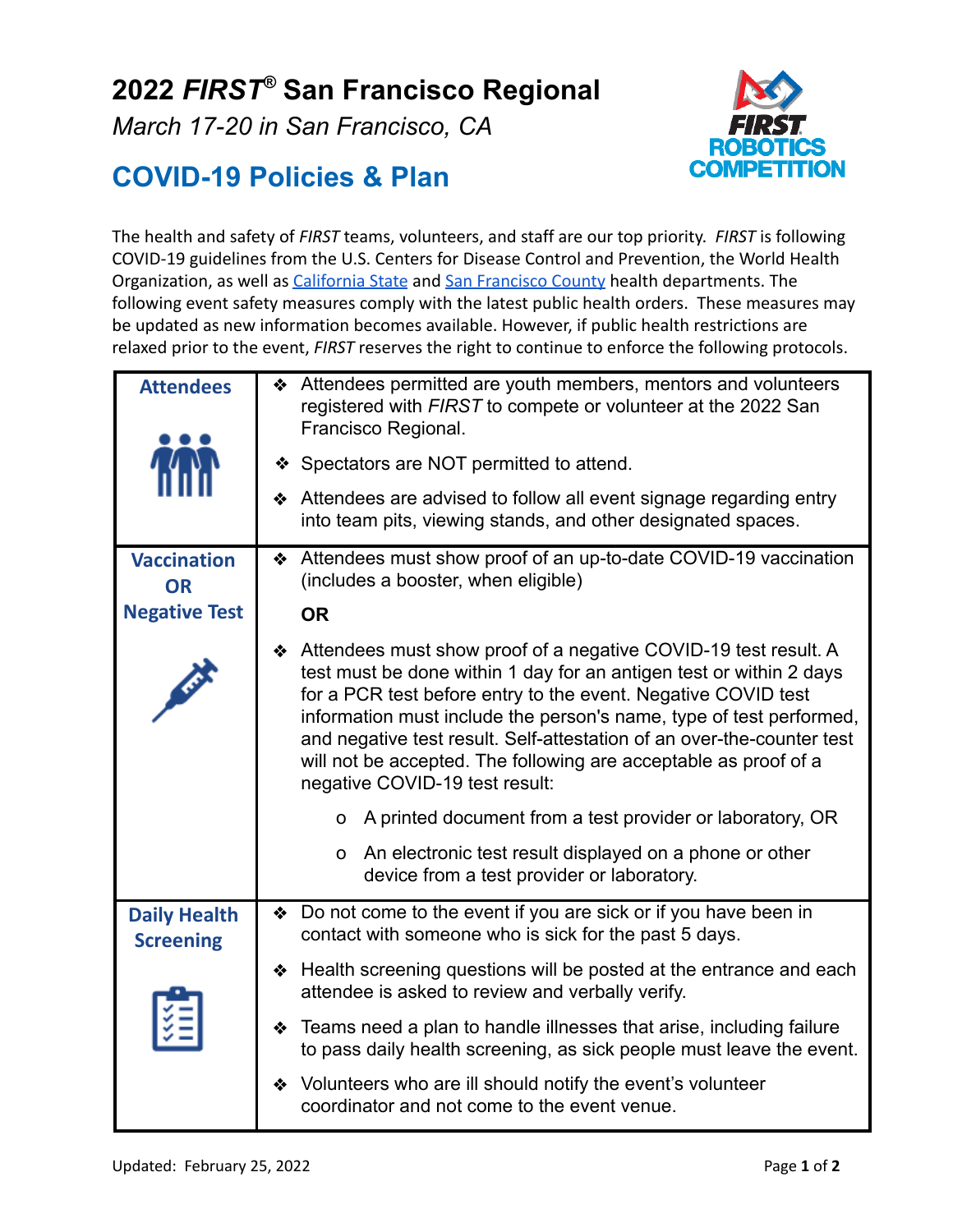## **2022** *FIRST®* **San Francisco Regional**

*March 17-20 in San Francisco, CA*



## **COVID-19 Policies & Plan**

The health and safety of *FIRST* teams, volunteers, and staff are our top priority. *FIRST* is following COVID-19 guidelines from the U.S. Centers for Disease Control and Prevention, the World Health Organization, as well as *[California State](https://covid19.ca.gov/mega-events/)* and *San [Francisco County](https://www.sfdph.org/dph/alerts/coronavirus-healthorders.asp)* health departments. The following event safety measures comply with the latest public health orders. These measures may be updated as new information becomes available. However, if public health restrictions are relaxed prior to the event, *FIRST* reserves the right to continue to enforce the following protocols.

| <b>Attendees</b>                        | Attendees permitted are youth members, mentors and volunteers<br>❖<br>registered with FIRST to compete or volunteer at the 2022 San<br>Francisco Regional.<br>❖ Spectators are NOT permitted to attend.<br>❖ Attendees are advised to follow all event signage regarding entry<br>into team pits, viewing stands, and other designated spaces.                                                                                                                   |
|-----------------------------------------|------------------------------------------------------------------------------------------------------------------------------------------------------------------------------------------------------------------------------------------------------------------------------------------------------------------------------------------------------------------------------------------------------------------------------------------------------------------|
| <b>Vaccination</b><br><b>OR</b>         | ❖ Attendees must show proof of an up-to-date COVID-19 vaccination<br>(includes a booster, when eligible)                                                                                                                                                                                                                                                                                                                                                         |
| <b>Negative Test</b>                    | <b>OR</b>                                                                                                                                                                                                                                                                                                                                                                                                                                                        |
|                                         | ❖ Attendees must show proof of a negative COVID-19 test result. A<br>test must be done within 1 day for an antigen test or within 2 days<br>for a PCR test before entry to the event. Negative COVID test<br>information must include the person's name, type of test performed,<br>and negative test result. Self-attestation of an over-the-counter test<br>will not be accepted. The following are acceptable as proof of a<br>negative COVID-19 test result: |
|                                         | A printed document from a test provider or laboratory, OR<br>0                                                                                                                                                                                                                                                                                                                                                                                                   |
|                                         | An electronic test result displayed on a phone or other<br>0<br>device from a test provider or laboratory.                                                                                                                                                                                                                                                                                                                                                       |
| <b>Daily Health</b><br><b>Screening</b> | ◆ Do not come to the event if you are sick or if you have been in<br>contact with someone who is sick for the past 5 days.                                                                                                                                                                                                                                                                                                                                       |
|                                         | ❖ Health screening questions will be posted at the entrance and each<br>attendee is asked to review and verbally verify.                                                                                                                                                                                                                                                                                                                                         |
|                                         | Teams need a plan to handle illnesses that arise, including failure<br>❖<br>to pass daily health screening, as sick people must leave the event.                                                                                                                                                                                                                                                                                                                 |
|                                         | Volunteers who are ill should notify the event's volunteer<br>❖<br>coordinator and not come to the event venue.                                                                                                                                                                                                                                                                                                                                                  |